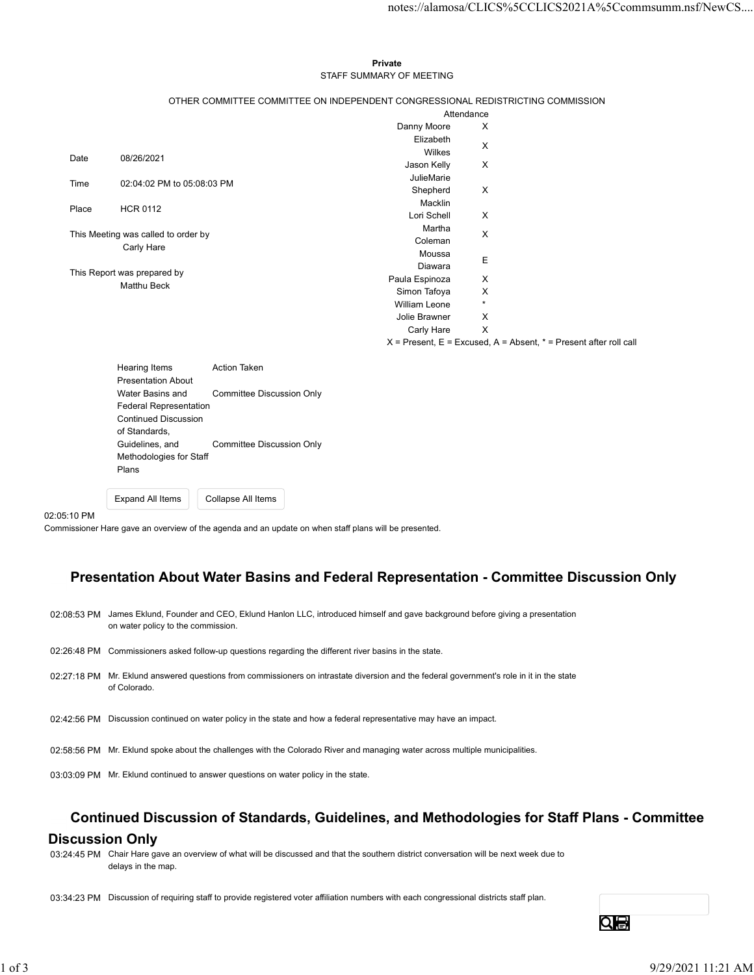#### Private **Private** and *Private* and *Private* and *Private* and *Private* and *Private* and *Private* and *Private* and *Private* and *Private* and *Private* and *Private* and *Private* and *Private* and *Private* and *Pri* STAFF SUMMARY OF MEETING

|       |                                     |                                                                                 |                          |                           |                                                                           | notes://alamosa/CLICS%5CCLICS2021A%5Ccommsumm.nsf/NewCS |
|-------|-------------------------------------|---------------------------------------------------------------------------------|--------------------------|---------------------------|---------------------------------------------------------------------------|---------------------------------------------------------|
|       |                                     |                                                                                 |                          |                           |                                                                           |                                                         |
|       |                                     |                                                                                 |                          |                           |                                                                           |                                                         |
|       |                                     |                                                                                 | Private                  |                           |                                                                           |                                                         |
|       |                                     |                                                                                 | STAFF SUMMARY OF MEETING |                           |                                                                           |                                                         |
|       |                                     |                                                                                 |                          |                           |                                                                           |                                                         |
|       |                                     | OTHER COMMITTEE COMMITTEE ON INDEPENDENT CONGRESSIONAL REDISTRICTING COMMISSION |                          |                           |                                                                           |                                                         |
|       |                                     |                                                                                 |                          | Attendance                |                                                                           |                                                         |
|       |                                     |                                                                                 | Danny Moore<br>Elizabeth | X                         |                                                                           |                                                         |
|       |                                     |                                                                                 | Wilkes                   | X                         |                                                                           |                                                         |
| Date  | 08/26/2021                          |                                                                                 | Jason Kelly              | $\mathsf{X}$              |                                                                           |                                                         |
|       | 02:04:02 PM to 05:08:03 PM          |                                                                                 | JulieMarie               |                           |                                                                           |                                                         |
| Time  |                                     |                                                                                 | Shepherd                 | $\boldsymbol{\mathsf{X}}$ |                                                                           |                                                         |
| Place | <b>HCR 0112</b>                     |                                                                                 | Macklin                  |                           |                                                                           |                                                         |
|       |                                     |                                                                                 | Lori Schell              | $\boldsymbol{\mathsf{X}}$ |                                                                           |                                                         |
|       | This Meeting was called to order by |                                                                                 | Martha                   | X                         |                                                                           |                                                         |
|       | Carly Hare                          |                                                                                 | Coleman<br>Moussa        |                           |                                                                           |                                                         |
|       |                                     |                                                                                 | Diawara                  | $\mathsf E$               |                                                                           |                                                         |
|       | This Report was prepared by         |                                                                                 | Paula Espinoza           | X                         |                                                                           |                                                         |
|       | Matthu Beck                         |                                                                                 | Simon Tafoya             | X                         |                                                                           |                                                         |
|       |                                     |                                                                                 | William Leone            | $\star$                   |                                                                           |                                                         |
|       |                                     |                                                                                 | Jolie Brawner            | X                         |                                                                           |                                                         |
|       |                                     |                                                                                 | Carly Hare               | $\mathsf{X}$              |                                                                           |                                                         |
|       |                                     |                                                                                 |                          |                           | $X =$ Present, $E =$ Excused, $A =$ Absent, $* =$ Present after roll call |                                                         |
|       | <b>Hearing Items</b>                | Action Taken                                                                    |                          |                           |                                                                           |                                                         |
|       | <b>Presentation About</b>           |                                                                                 |                          |                           |                                                                           |                                                         |
|       | Water Basins and                    | <b>Committee Discussion Only</b>                                                |                          |                           |                                                                           |                                                         |
|       | Federal Representation              |                                                                                 |                          |                           |                                                                           |                                                         |
|       | <b>Continued Discussion</b>         |                                                                                 |                          |                           |                                                                           |                                                         |
|       | of Standards,<br>Guidelines and     | Committee Discussion Only                                                       |                          |                           |                                                                           |                                                         |
|       |                                     |                                                                                 |                          |                           |                                                                           |                                                         |

| $115$ anny Roms               | AUUUI IANGII              |
|-------------------------------|---------------------------|
| <b>Presentation About</b>     |                           |
| Water Basins and              | Committee Discussion Only |
| <b>Federal Representation</b> |                           |
| <b>Continued Discussion</b>   |                           |
| of Standards,                 |                           |
| Guidelines, and               | Committee Discussion Only |
| Methodologies for Staff       |                           |
| Plans                         |                           |
|                               |                           |
|                               |                           |

Expand All Items Collapse All Items

#### 02:05:10 PM

Commissioner Hare gave an overview of the agenda and an update on when staff plans will be presented.

## Presentation About Water Basins and Federal Representation - Committee Discussion Only

| 02:08:53 PM James Eklund, Founder and CEO, Eklund Hanlon LLC, introduced himself and gave background before giving a presentation<br>on water policy to the commission.                |    |
|----------------------------------------------------------------------------------------------------------------------------------------------------------------------------------------|----|
| 02:26:48 PM Commissioners asked follow-up questions regarding the different river basins in the state.                                                                                 |    |
| 02:27:18 PM Mr. Eklund answered questions from commissioners on intrastate diversion and the federal government's role in it in the state<br>of Colorado.                              |    |
| 02:42:56 PM Discussion continued on water policy in the state and how a federal representative may have an impact.                                                                     |    |
| 02:58:56 PM Mr. Eklund spoke about the challenges with the Colorado River and managing water across multiple municipalities.                                                           |    |
| 03:03:09 PM Mr. Eklund continued to answer questions on water policy in the state.                                                                                                     |    |
| <b>Discussion Only</b><br>03:24:45 PM Chair Hare gave an overview of what will be discussed and that the southern district conversation will be next week due to<br>delays in the map. |    |
| 03:34:23 PM Discussion of requiring staff to provide registered voter affiliation numbers with each congressional districts staff plan.                                                |    |
|                                                                                                                                                                                        |    |
|                                                                                                                                                                                        | Qe |

## Continued Discussion of Standards, Guidelines, and Methodologies for Staff Plans - Committee

### Discussion Only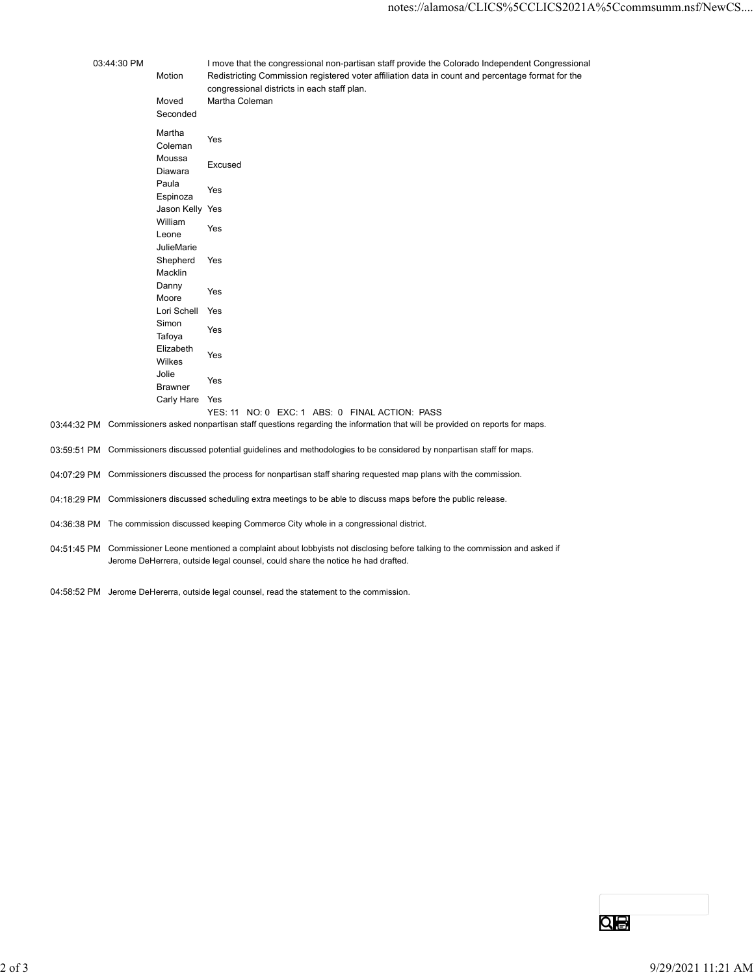|             |                         | notes://alamosa/CLICS%5CCLICS2021A%5Ccommsumm.nsf/NewCS                                                                |
|-------------|-------------------------|------------------------------------------------------------------------------------------------------------------------|
|             |                         |                                                                                                                        |
|             |                         |                                                                                                                        |
| 03:44:30 PM |                         | I move that the congressional non-partisan staff provide the Colorado Independent Congressional                        |
|             | Motion                  | Redistricting Commission registered voter affiliation data in count and percentage format for the                      |
|             |                         | congressional districts in each staff plan.                                                                            |
|             | Moved<br>Seconded       | Martha Coleman                                                                                                         |
|             |                         |                                                                                                                        |
|             | Martha<br>Coleman       | Yes                                                                                                                    |
|             | Moussa                  | Excused                                                                                                                |
|             | Diawara                 |                                                                                                                        |
|             | Paula<br>Espinoza       | Yes                                                                                                                    |
|             | Jason Kelly Yes         |                                                                                                                        |
|             | William                 | Yes                                                                                                                    |
|             | Leone<br>JulieMarie     |                                                                                                                        |
|             | Shepherd                | Yes                                                                                                                    |
|             | Macklin                 |                                                                                                                        |
|             | Danny<br>Moore          | Yes                                                                                                                    |
|             | Lori Schell Yes         |                                                                                                                        |
|             | Simon<br>Tafoya         | Yes                                                                                                                    |
|             | Elizabeth<br>Wilkes     | Yes                                                                                                                    |
|             | Jolie<br><b>Brawner</b> | Yes                                                                                                                    |
|             | Carly Hare Yes          |                                                                                                                        |
|             |                         | YES: 11 NO: 0 EXC: 1 ABS: 0 FINAL ACTION: PASS                                                                         |
|             |                         | M Commissioners asked nonpartisan staff questions regarding the information that will be provided on reports for maps. |
|             |                         | M Commissioners discussed potential guidelines and methodologies to be considered by nonpartisan staff for maps.       |
|             |                         | M Commissioners discussed the process for nonpartisan staff sharing requested map plans with the commission.           |
|             |                         |                                                                                                                        |

- 03:44:32 PM Commissioners asked nonpartisan staff questions regarding the information that will be provided on reports for maps.
- 03:59:51 PM Commissioners discussed potential guidelines and methodologies to be considered by nonpartisan staff for maps.
- 04:07:29 PM Commissioners discussed the process for nonpartisan staff sharing requested map plans with the commission.
- 04:18:29 PM Commissioners discussed scheduling extra meetings to be able to discuss maps before the public release.
- 04:36:38 PM The commission discussed keeping Commerce City whole in a congressional district.
- 04:51:45 PM Commissioner Leone mentioned a complaint about lobbyists not disclosing before talking to the commission and asked if Jerome DeHerrera, outside legal counsel, could share the notice he had drafted.
- 04:58:52 PM Jerome DeHererra, outside legal counsel, read the statement to the commission.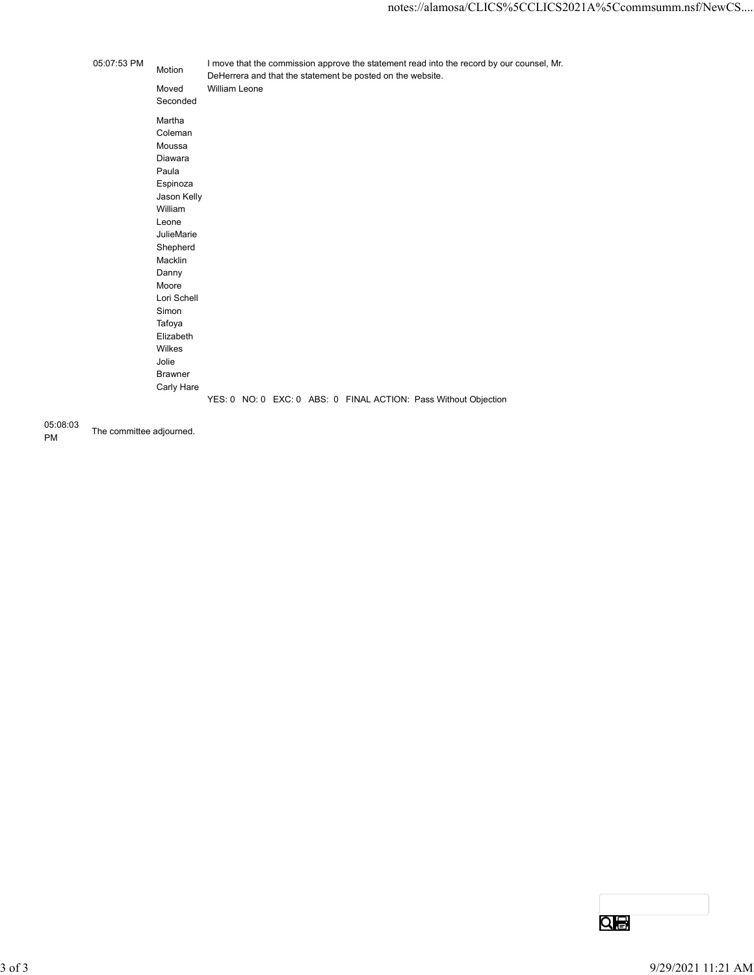|             |                                                                                                                                                                                                                                                  | notes://alamosa/CLICS%5CCLICS2021A%5Ccommsumm.nsf/New                                                                                                                    |
|-------------|--------------------------------------------------------------------------------------------------------------------------------------------------------------------------------------------------------------------------------------------------|--------------------------------------------------------------------------------------------------------------------------------------------------------------------------|
|             |                                                                                                                                                                                                                                                  |                                                                                                                                                                          |
| 05:07:53 PM | Motion<br>Moved<br>Seconded                                                                                                                                                                                                                      | I move that the commission approve the statement read into the record by our counsel, Mr.<br>DeHerrera and that the statement be posted on the website.<br>William Leone |
|             | Martha<br>Coleman<br>Moussa<br>Diawara<br>Paula<br>Espinoza<br>Jason Kelly<br>William<br>Leone<br>JulieMarie<br>Shepherd<br>Macklin<br>Danny<br>Moore<br>Lori Schell<br>Simon<br>Tafoya<br>Elizabeth<br>Wilkes<br>Jolie<br>Brawner<br>Carly Hare |                                                                                                                                                                          |
|             |                                                                                                                                                                                                                                                  | YES: 0 NO: 0 EXC: 0 ABS: 0 FINAL ACTION: Pass Without Objection                                                                                                          |
|             |                                                                                                                                                                                                                                                  |                                                                                                                                                                          |

05:08:03 PM The committee adjourned.

3 of 3 9/29/2021 11:21 AM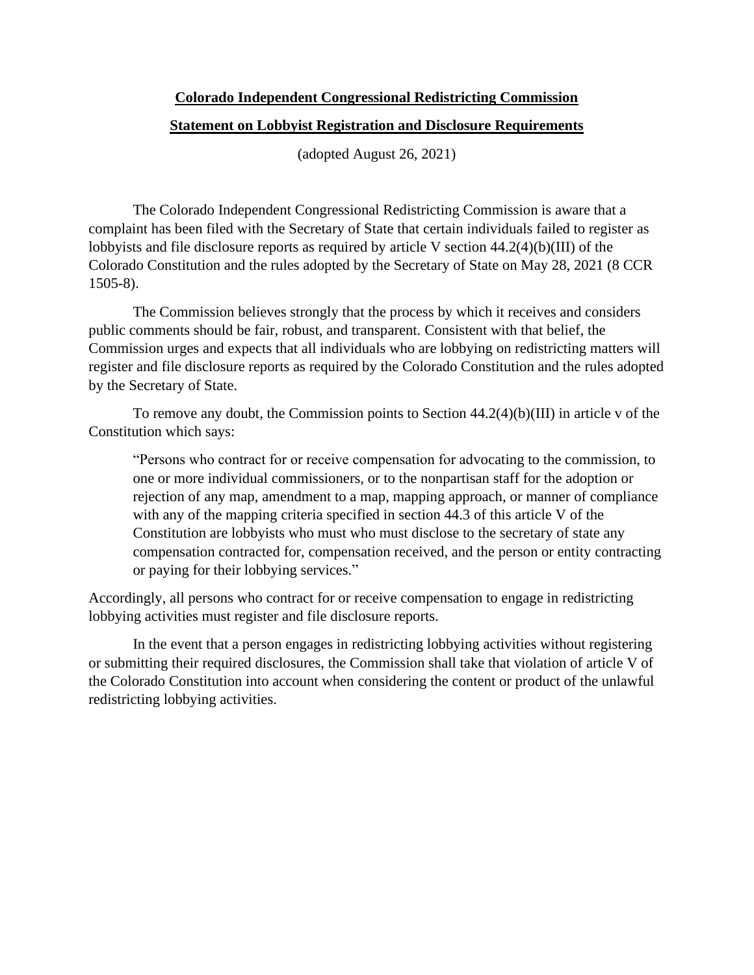# **Colorado Independent Congressional Redistricting Commission Statement on Lobbyist Registration and Disclosure Requirements**

(adopted August 26, 2021)

The Colorado Independent Congressional Redistricting Commission is aware that a complaint has been filed with the Secretary of State that certain individuals failed to register as lobbyists and file disclosure reports as required by article V section 44.2(4)(b)(III) of the Colorado Constitution and the rules adopted by the Secretary of State on May 28, 2021 (8 CCR 1505-8).

The Commission believes strongly that the process by which it receives and considers public comments should be fair, robust, and transparent. Consistent with that belief, the Commission urges and expects that all individuals who are lobbying on redistricting matters will register and file disclosure reports as required by the Colorado Constitution and the rules adopted by the Secretary of State.

To remove any doubt, the Commission points to Section 44.2(4)(b)(III) in article v of the Constitution which says:

"Persons who contract for or receive compensation for advocating to the commission, to one or more individual commissioners, or to the nonpartisan staff for the adoption or rejection of any map, amendment to a map, mapping approach, or manner of compliance with any of the mapping criteria specified in section 44.3 of this article V of the Constitution are lobbyists who must who must disclose to the secretary of state any compensation contracted for, compensation received, and the person or entity contracting or paying for their lobbying services."

Accordingly, all persons who contract for or receive compensation to engage in redistricting lobbying activities must register and file disclosure reports.

In the event that a person engages in redistricting lobbying activities without registering or submitting their required disclosures, the Commission shall take that violation of article V of the Colorado Constitution into account when considering the content or product of the unlawful redistricting lobbying activities.